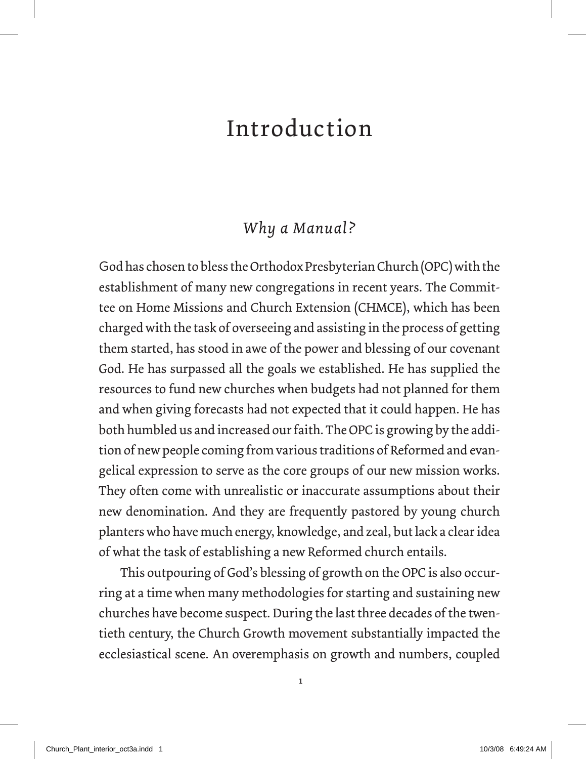## Introduction

## *Why a Manual?*

God has chosen to bless the Orthodox Presbyterian Church (OPC) with the establishment of many new congregations in recent years. The Committee on Home Missions and Church Extension (CHMCE), which has been charged with the task of overseeing and assisting in the process of getting them started, has stood in awe of the power and blessing of our covenant God. He has surpassed all the goals we established. He has supplied the resources to fund new churches when budgets had not planned for them and when giving forecasts had not expected that it could happen. He has both humbled us and increased our faith. The OPC is growing by the addition of new people coming from various traditions of Reformed and evangelical expression to serve as the core groups of our new mission works. They often come with unrealistic or inaccurate assumptions about their new denomination. And they are frequently pastored by young church planters who have much energy, knowledge, and zeal, but lack a clear idea of what the task of establishing a new Reformed church entails.

This outpouring of God's blessing of growth on the OPC is also occurring at a time when many methodologies for starting and sustaining new churches have become suspect. During the last three decades of the twentieth century, the Church Growth movement substantially impacted the ecclesiastical scene. An overemphasis on growth and numbers, coupled

1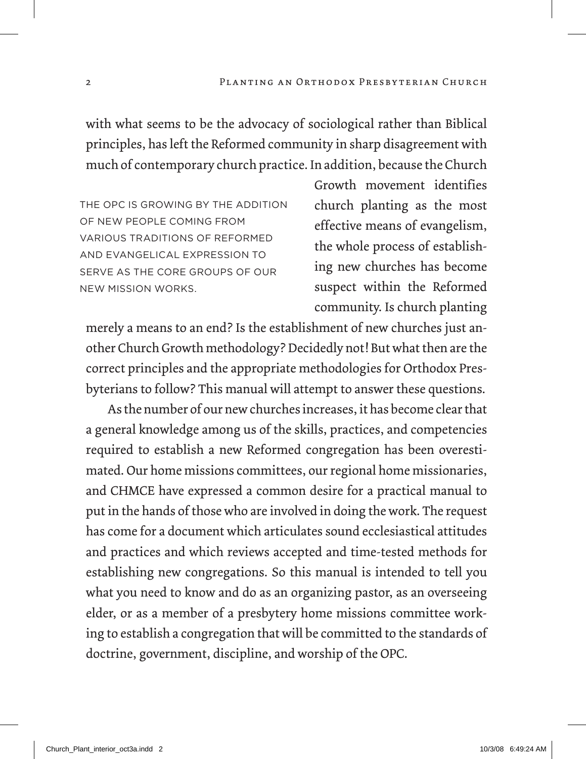with what seems to be the advocacy of sociological rather than Biblical principles, has left the Reformed community in sharp disagreement with much of contemporary church practice. In addition, because the Church

The OPC is growing by the addition of new people coming from various traditions of Reformed and evangelical expression to serve as the core groups of our new mission works.

Growth movement identifies church planting as the most effective means of evangelism, the whole process of establishing new churches has become suspect within the Reformed community. Is church planting

merely a means to an end? Is the establishment of new churches just another Church Growth methodology? Decidedly not! But what then are the correct principles and the appropriate methodologies for Orthodox Presbyterians to follow? This manual will attempt to answer these questions.

As the number of our new churches increases, it has become clear that a general knowledge among us of the skills, practices, and competencies required to establish a new Reformed congregation has been overestimated. Our home missions committees, our regional home missionaries, and CHMCE have expressed a common desire for a practical manual to put in the hands of those who are involved in doing the work. The request has come for a document which articulates sound ecclesiastical attitudes and practices and which reviews accepted and time-tested methods for establishing new congregations. So this manual is intended to tell you what you need to know and do as an organizing pastor, as an overseeing elder, or as a member of a presbytery home missions committee working to establish a congregation that will be committed to the standards of doctrine, government, discipline, and worship of the OPC.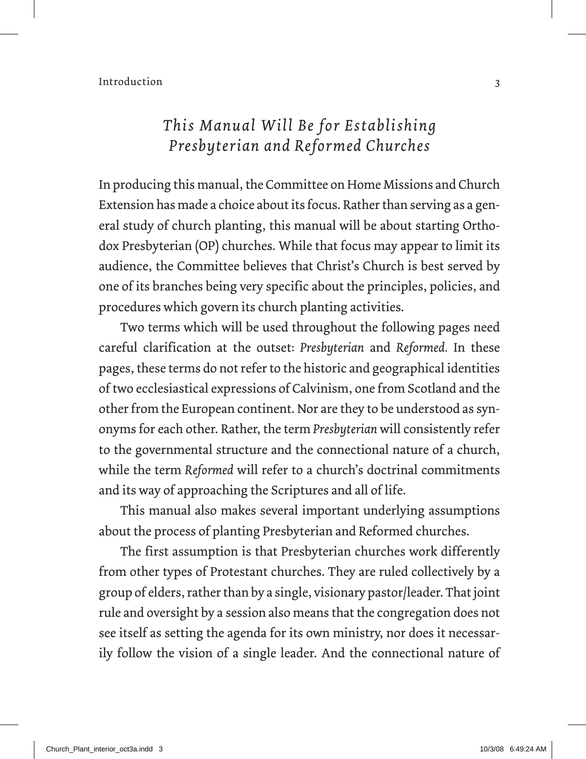## *This Manual Will Be for Establishing Presbyterian and Reformed Churches*

In producing this manual, the Committee on Home Missions and Church Extension has made a choice about its focus. Rather than serving as a general study of church planting, this manual will be about starting Orthodox Presbyterian (OP) churches. While that focus may appear to limit its audience, the Committee believes that Christ's Church is best served by one of its branches being very specific about the principles, policies, and procedures which govern its church planting activities.

Two terms which will be used throughout the following pages need careful clarification at the outset: *Presbyterian* and *Reformed.* In these pages, these terms do not refer to the historic and geographical identities of two ecclesiastical expressions of Calvinism, one from Scotland and the other from the European continent. Nor are they to be understood as synonyms for each other. Rather, the term *Presbyterian* will consistently refer to the governmental structure and the connectional nature of a church, while the term *Reformed* will refer to a church's doctrinal commitments and its way of approaching the Scriptures and all of life.

This manual also makes several important underlying assumptions about the process of planting Presbyterian and Reformed churches.

The first assumption is that Presbyterian churches work differently from other types of Protestant churches. They are ruled collectively by a group of elders, rather than by a single, visionary pastor/leader. That joint rule and oversight by a session also means that the congregation does not see itself as setting the agenda for its own ministry, nor does it necessarily follow the vision of a single leader. And the connectional nature of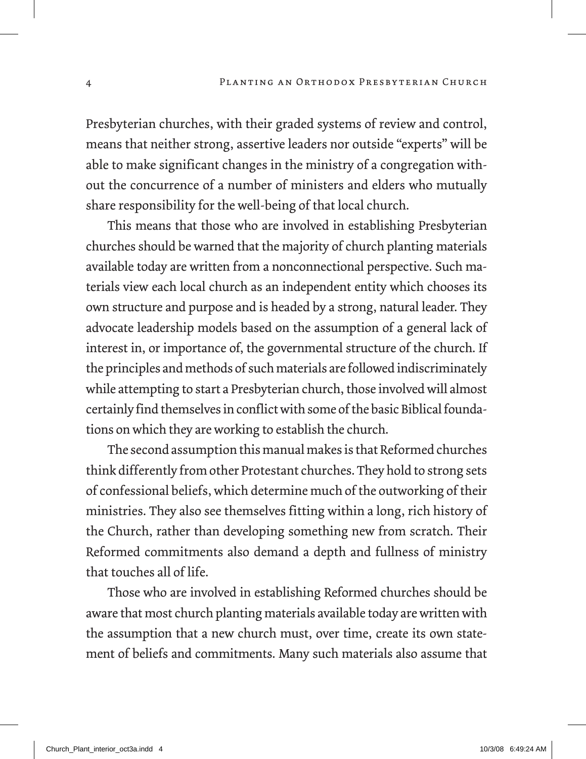Presbyterian churches, with their graded systems of review and control, means that neither strong, assertive leaders nor outside "experts" will be able to make significant changes in the ministry of a congregation without the concurrence of a number of ministers and elders who mutually share responsibility for the well-being of that local church.

This means that those who are involved in establishing Presbyterian churches should be warned that the majority of church planting materials available today are written from a nonconnectional perspective. Such materials view each local church as an independent entity which chooses its own structure and purpose and is headed by a strong, natural leader. They advocate leadership models based on the assumption of a general lack of interest in, or importance of, the governmental structure of the church. If the principles and methods of such materials are followed indiscriminately while attempting to start a Presbyterian church, those involved will almost certainly find themselves in conflict with some of the basic Biblical foundations on which they are working to establish the church.

The second assumption this manual makes is that Reformed churches think differently from other Protestant churches. They hold to strong sets of confessional beliefs, which determine much of the outworking of their ministries. They also see themselves fitting within a long, rich history of the Church, rather than developing something new from scratch. Their Reformed commitments also demand a depth and fullness of ministry that touches all of life.

Those who are involved in establishing Reformed churches should be aware that most church planting materials available today are written with the assumption that a new church must, over time, create its own statement of beliefs and commitments. Many such materials also assume that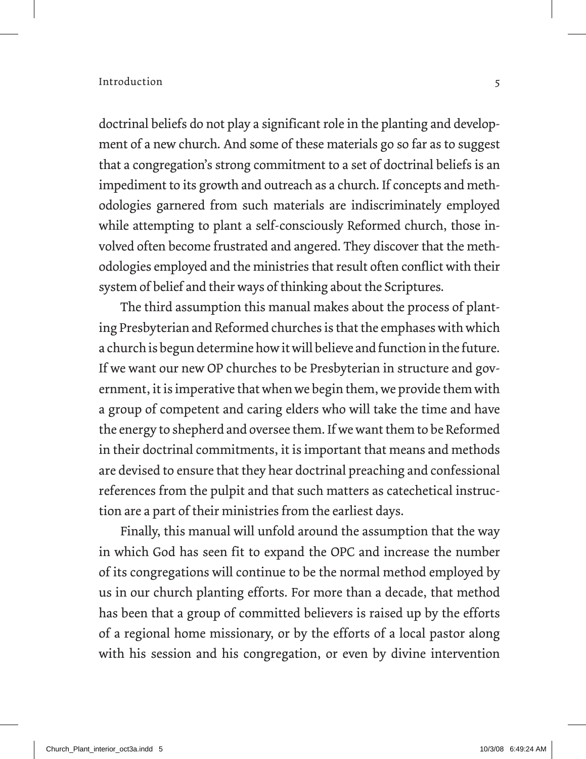doctrinal beliefs do not play a significant role in the planting and development of a new church. And some of these materials go so far as to suggest that a congregation's strong commitment to a set of doctrinal beliefs is an impediment to its growth and outreach as a church. If concepts and methodologies garnered from such materials are indiscriminately employed while attempting to plant a self-consciously Reformed church, those involved often become frustrated and angered. They discover that the methodologies employed and the ministries that result often conflict with their system of belief and their ways of thinking about the Scriptures.

The third assumption this manual makes about the process of planting Presbyterian and Reformed churches is that the emphases with which a church is begun determine how it will believe and function in the future. If we want our new OP churches to be Presbyterian in structure and government, it is imperative that when we begin them, we provide them with a group of competent and caring elders who will take the time and have the energy to shepherd and oversee them. If we want them to be Reformed in their doctrinal commitments, it is important that means and methods are devised to ensure that they hear doctrinal preaching and confessional references from the pulpit and that such matters as catechetical instruction are a part of their ministries from the earliest days.

Finally, this manual will unfold around the assumption that the way in which God has seen fit to expand the OPC and increase the number of its congregations will continue to be the normal method employed by us in our church planting efforts. For more than a decade, that method has been that a group of committed believers is raised up by the efforts of a regional home missionary, or by the efforts of a local pastor along with his session and his congregation, or even by divine intervention